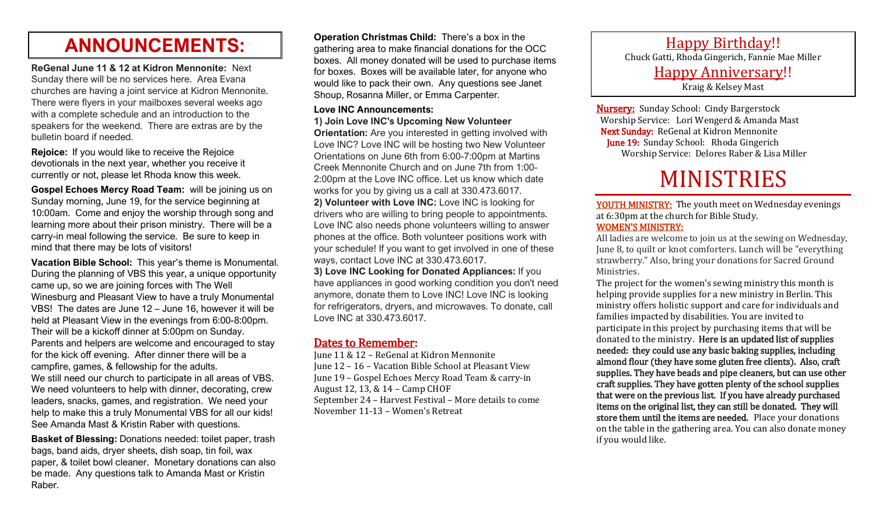## **ANNOUNCEMENTS:**

**ReGenal June 11 & 12 at Kidron Mennonite:** Next Sunday there will be no services here. Area Evana churches are having a joint service at Kidron Mennonite. There were flyers in your mailboxes several weeks ago with a complete schedule and an introduction to the speakers for the weekend. There are extras are by the bulletin board if needed.

**Rejoice:** If you would like to receive the Rejoice devotionals in the next year, whether you receive it currently or not, please let Rhoda know this week.

**Gospel Echoes Mercy Road Team:** will be joining us on Sunday morning, June 19, for the service beginning at 10:00am. Come and enjoy the worship through song and learning more about their prison ministry. There will be a carry-in meal following the service. Be sure to keep in mind that there may be lots of visitors!

**Vacation Bible School:** This year's theme is Monumental. During the planning of VBS this year, a unique opportunity came up, so we are joining forces with The Well Winesburg and Pleasant View to have a truly Monumental VBS! The dates are June 12 – June 16, however it will be held at Pleasant View in the evenings from 6:00-8:00pm. Their will be a kickoff dinner at 5:00pm on Sunday. Parents and helpers are welcome and encouraged to stay for the kick off evening. After dinner there will be a campfire, games, & fellowship for the adults. We still need our church to participate in all areas of VBS. We need volunteers to help with dinner, decorating, crew leaders, snacks, games, and registration. We need your help to make this a truly Monumental VBS for all our kids! See Amanda Mast & Kristin Raber with questions.

**Basket of Blessing:** Donations needed: toilet paper, trash bags, band aids, dryer sheets, dish soap, tin foil, wax paper, & toilet bowl cleaner. Monetary donations can also be made. Any questions talk to Amanda Mast or Kristin Raber.

**Operation Christmas Child:** There's a box in the gathering area to make financial donations for the OCC boxes. All money donated will be used to purchase items for boxes. Boxes will be available later, for anyone who would like to pack their own. Any questions see Janet Shoup, Rosanna Miller, or Emma Carpenter.

### **Love INC Announcements:**

**1) Join Love INC's Upcoming New Volunteer** 

**Orientation:** Are you interested in getting involved with Love INC? Love INC will be hosting two New Volunteer Orientations on June 6th from 6:00-7:00pm at Martins Creek Mennonite Church and on June 7th from 1:00- 2:00pm at the Love INC office. Let us know which date works for you by giving us a call at 330.473.6017. **2) Volunteer with Love INC:** Love INC is looking for drivers who are willing to bring people to appointments. Love INC also needs phone volunteers willing to answer phones at the office. Both volunteer positions work with your schedule! If you want to get involved in one of these ways, contact Love INC at 330.473.6017.

**3) Love INC Looking for Donated Appliances:** If you have appliances in good working condition you don't need anymore, donate them to Love INC! Love INC is looking for refrigerators, dryers, and microwaves. To donate, call Love INC at 330.473.6017.

### Dates to Remember:

June 11 & 12 – ReGenal at Kidron Mennonite June 12 – 16 – Vacation Bible School at Pleasant View June 19 – Gospel Echoes Mercy Road Team & carry-in August 12, 13, & 14 – Camp CHOF September 24 – Harvest Festival – More details to come November 11-13 – Women's Retreat

Happy Birthday!! Chuck Gatti, Rhoda Gingerich, Fannie Mae Miller Happy Anniversary!! Kraig & Kelsey Mast

**Nursery:** Sunday School: Cindy Bargerstock Worship Service: Lori Wengerd & Amanda Mast Next Sunday: ReGenal at Kidron Mennonite June 19: Sunday School: Rhoda Gingerich Worship Service: Delores Raber & Lisa Miller

# MINISTRIES

YOUTH MINISTRY: The youth meet on Wednesday evenings at 6:30pm at the church for Bible Study. WOMEN'S MINISTRY:

All ladies are welcome to join us at the sewing on Wednesday, June 8, to quilt or knot comforters. Lunch will be "everything strawberry." Also, bring your donations for Sacred Ground Ministries.

The project for the women's sewing ministry this month is helping provide supplies for a new ministry in Berlin. This ministry offers holistic support and care for individuals and families impacted by disabilities. You are invited to participate in this project by purchasing items that will be donated to the ministry. Here is an updated list of supplies needed: they could use any basic baking supplies, including almond flour (they have some gluten free clients). Also, craft supplies. They have beads and pipe cleaners, but can use other craft supplies. They have gotten plenty of the school supplies that were on the previous list. If you have already purchased items on the original list, they can still be donated. They will store them until the items are needed. Place your donations on the table in the gathering area. You can also donate money if you would like.